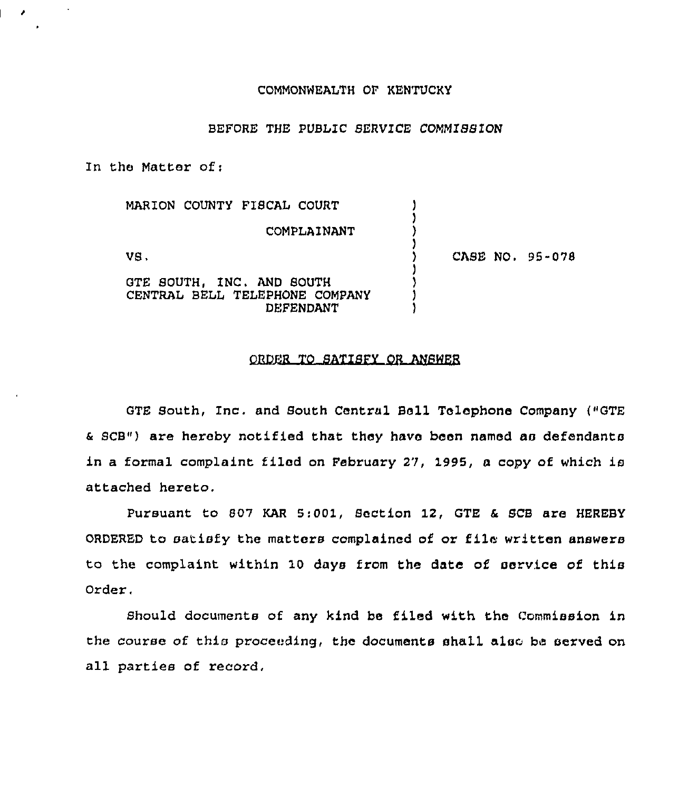### COMMONNEALTH OP KENTUCKY

### BEFORE THE PUBLIC SERVICE COMMISSION

In the Matter of:

 $\mathcal{F}$ 

| MARION COUNTY FISCAL COURT                                                      |                 |
|---------------------------------------------------------------------------------|-----------------|
| COMPLAINANT                                                                     |                 |
| VS.                                                                             | CASE NO. 95-078 |
| GTE SOUTH, INC. AND SOUTH<br>CENTRAL BELL TELEPHONE COMPANY<br><b>DEFENDANT</b> |                 |

### ORDER TO SATISFY OR ANSWER

GTE South, Inc. and South Central Bell Telephone Company ("GTE & SCB") are hereby notified that they have been named as defendants in a formal complaint filed on February 27, 1995, a copy of which is attached hereto.

Pursuant to 807 KAR 5:001, Section 12, GTE & SCB are HEREBY ORDERED to satisfy the matters complained of or file written answers to the complaint within 10 days from the date of service of this Order.

Should documents of any kind be filed with the Commission in the course of this proceeding, the documents shall also be served on all parties of record,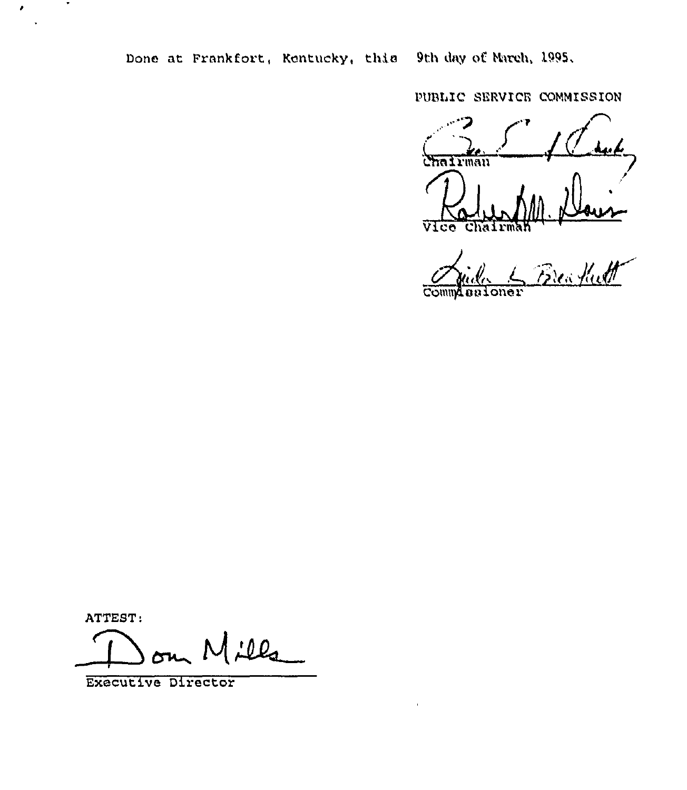Done at Frankfort, Kentucky, this 9th day of March, 1995.

PUBLIC SERVICE COMMISSION

hairman Vice hair

Breachutt

ATTEST:

 $\bullet$ 

 $\pmb{\cdot}$ 

 $10Q_1$ 

Executive Director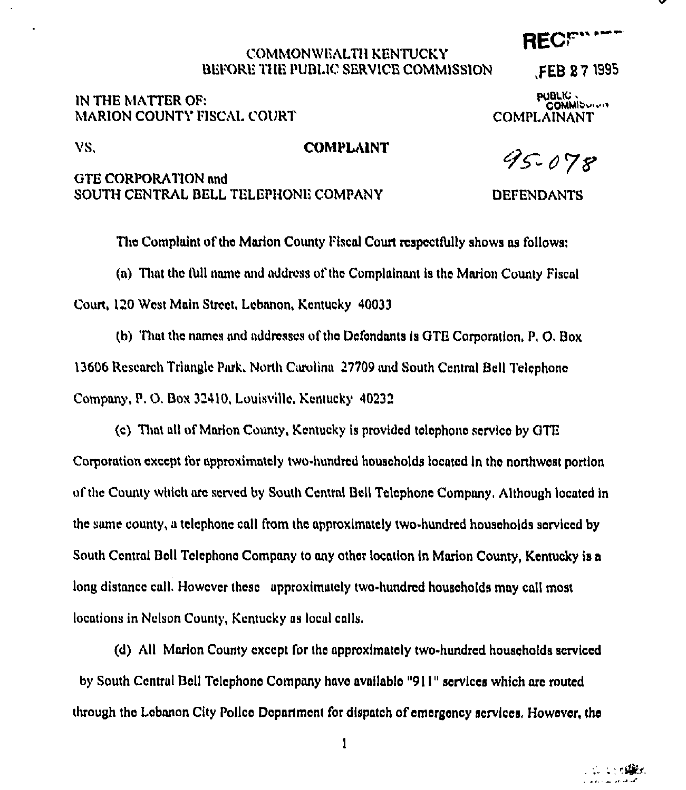### COMMONWEALTII KENTUCKY BEFORE THE PUBLIC SERVICE COMMISSION

# IN THE MATTER OF: **MARION COUNTY FISCAL COURT**

pualic .<br>COMMIS ..... COMPLAINANT

,FEB 87 ISS5

RECF" \*\*\*\*

## VS, COMPLAINT

# GTE CORPORATION and SOUTH CENTRAL BELL TELEPHONE COMPANY DEFENDANTS

95-078

The Complaint of the Marion County Fiscal Court respectfully shows as follows: (a) That the IUII name and address ol'thc Complainant is tho Marion County Fiscal Court, 120 West Main Street, Lebanon, Kentucky 40033 (b) That the names and addresses oftho Defendants is GTE Corporation, P, 0, Box

13606 Research Triangle Park, North Carolina 27709 and South Central Bell Telephone Company, P. O. Box 32410, Louisville, Kentucky 40232

(c) That all of Marion County, Kentucky is provided telephone service by GTE Corporation except for approximately two-hundred households located in the northwest portion of the County which are served by South Central Bell Telephone Company, Although located in the same county, a telcphonc call from thc approximately two-hundred households serviced by South Central Bell Telephone Company to any other location in Marion County, Kentucky is a long distance call. However these approximately two-hundred households may call most locations in Nelson County, Kentucky as local calls,

(d) All Marion County except for the approximately two.hundred households serviced by South Central Bell Telephone Company have available "9II" scrviccs which are routed through thc Lebanon City Police Dcpartmcnt for dispatch of emorgency services, However, the

 $\mathbf{1}$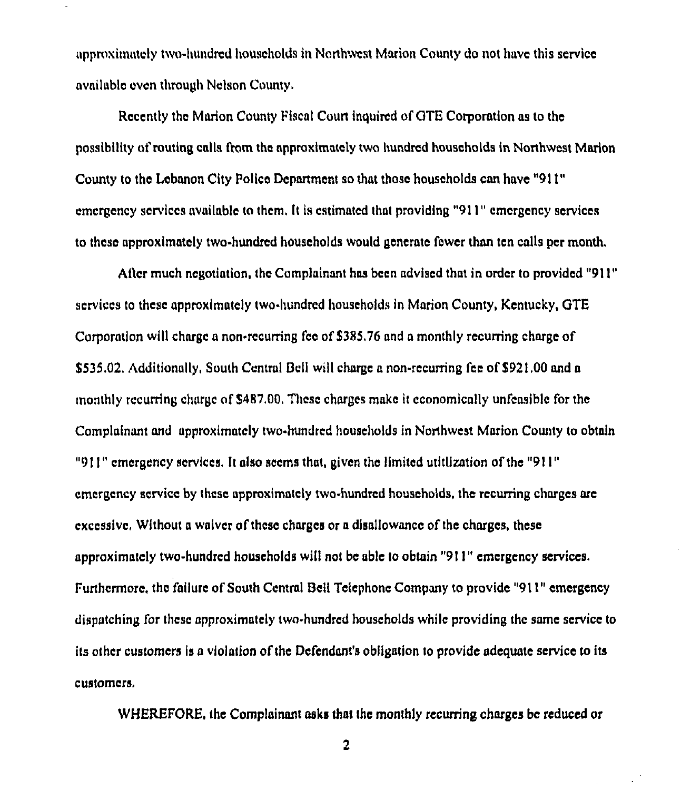approximately two-hundred households in Northwest Marion County do not have this service available even through Nelson County.

Recently the Marion County Fiscal Court inquired of GTE Corporation as to the possibility of routing calls from the approximately two hundred households in Northwest Marion County to the Lebanon City Police Department so that those households can have "911" emergency services available to them. It is estimated that providing "911" emergency services to these approximately two-hundred households would generate fewer than ten calls per month,

After much negotiation, the Complainant has been advised that in order to provided "911" services to these approximately two-hundrcd households in Marion County, Kentucky, GTE Corporation will charge a non-recurring fce of \$385.76 and a monthly recurring charge of \$535.02. Additionally, South Central Bell will charge a non-recurring fee of \$921.00 and a monthly recurring charge of \$487.00. These charges make it economically unfeasible for the Complainant and approximately two-hundred households in Northwest Marion County to obtain "911" emergency services. It also seems that, given the limited utitlization of the "911" cmcrgcncy scrvicc by thcsc approximately two-hundred households. thc recurring charges are cxccssivc, Without a waiver of thcsc charges or a disallowance of thc charges, these approximately two-hundred households will not be able to obtain "911" emergency services. Furthermore, the failure of South Central Bell Telephone Company to provide "911" emergency dispatching for thcsc approximately two-hundred households while providing the same service to its other customers is a violation of the Defendant's obligation to provide adequate service to its customers,

WHEREFORE, the Complainant asks that thc monthly recurring charges bc reduced or

 $\overline{c}$